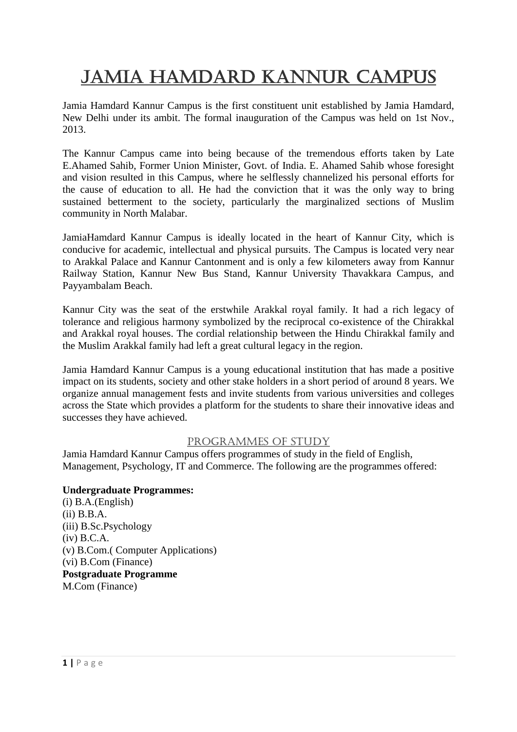# Jamia Hamdard Kannur Campus

Jamia Hamdard Kannur Campus is the first constituent unit established by Jamia Hamdard, New Delhi under its ambit. The formal inauguration of the Campus was held on 1st Nov., 2013.

The Kannur Campus came into being because of the tremendous efforts taken by Late E.Ahamed Sahib, Former Union Minister, Govt. of India. E. Ahamed Sahib whose foresight and vision resulted in this Campus, where he selflessly channelized his personal efforts for the cause of education to all. He had the conviction that it was the only way to bring sustained betterment to the society, particularly the marginalized sections of Muslim community in North Malabar.

JamiaHamdard Kannur Campus is ideally located in the heart of Kannur City, which is conducive for academic, intellectual and physical pursuits. The Campus is located very near to Arakkal Palace and Kannur Cantonment and is only a few kilometers away from Kannur Railway Station, Kannur New Bus Stand, Kannur University Thavakkara Campus, and Payyambalam Beach.

Kannur City was the seat of the erstwhile Arakkal royal family. It had a rich legacy of tolerance and religious harmony symbolized by the reciprocal co-existence of the Chirakkal and Arakkal royal houses. The cordial relationship between the Hindu Chirakkal family and the Muslim Arakkal family had left a great cultural legacy in the region.

Jamia Hamdard Kannur Campus is a young educational institution that has made a positive impact on its students, society and other stake holders in a short period of around 8 years. We organize annual management fests and invite students from various universities and colleges across the State which provides a platform for the students to share their innovative ideas and successes they have achieved.

## PROGRAMMES OF STUDY

Jamia Hamdard Kannur Campus offers programmes of study in the field of English, Management, Psychology, IT and Commerce. The following are the programmes offered:

## **Undergraduate Programmes:**

(i) B.A.(English) (ii) B.B.A. (iii) B.Sc.Psychology (iv) B.C.A. (v) B.Com.( Computer Applications) (vi) B.Com (Finance) **Postgraduate Programme** M.Com (Finance)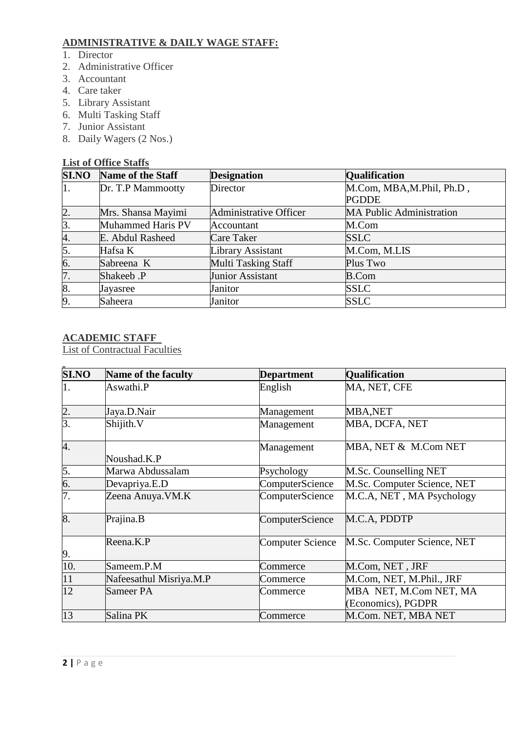# **ADMINISTRATIVE & DAILY WAGE STAFF:**

- 1. Director
- 2. Administrative Officer
- 3. Accountant
- 4. Care taker
- 5. Library Assistant
- 6. Multi Tasking Staff
- 7. Junior Assistant
- 8. Daily Wagers (2 Nos.)

## **List of Office Staffs**

| <b>SI.NO</b> | <b>Name of the Staff</b> | <b>Designation</b>            | <b>Qualification</b>            |
|--------------|--------------------------|-------------------------------|---------------------------------|
| 1.           | Dr. T.P Mammootty        | Director                      | M.Com, MBA, M.Phil, Ph.D,       |
|              |                          |                               | <b>PGDDE</b>                    |
| 2.           | Mrs. Shansa Mayimi       | <b>Administrative Officer</b> | <b>MA Public Administration</b> |
| 3.           | Muhammed Haris PV        | Accountant                    | M.Com                           |
| 4.           | E. Abdul Rasheed         | Care Taker                    | <b>SSLC</b>                     |
| 5.           | Hafsa K                  | Library Assistant             | M.Com, M.LIS                    |
| 6.           | Sabreena K               | Multi Tasking Staff           | Plus Two                        |
| 7.           | Shakeeb .P               | Junior Assistant              | <b>B.Com</b>                    |
| 8.           | Jayasree                 | Janitor                       | <b>SSLC</b>                     |
| 9.           | Saheera                  | Janitor                       | <b>SSLC</b>                     |

## **ACADEMIC STAFF**

List of Contractual Faculties

| <b>SI.NO</b>     | Name of the faculty     | <b>Department</b> | <b>Qualification</b>                         |
|------------------|-------------------------|-------------------|----------------------------------------------|
| 1.               | Aswathi.P               | English           | MA, NET, CFE                                 |
| $\overline{2}$ . | Jaya.D.Nair             | Management        | <b>MBA,NET</b>                               |
| $\overline{3}$ . | Shijith.V               | Management        | MBA, DCFA, NET                               |
| 4.               | Noushad.K.P             | Management        | MBA, NET & M.Com NET                         |
| 5.               | Marwa Abdussalam        | Psychology        | M.Sc. Counselling NET                        |
| 6.               | Devapriya.E.D           | ComputerScience   | M.Sc. Computer Science, NET                  |
| 7.               | Zeena Anuya. VM.K       | ComputerScience   | M.C.A, NET, MA Psychology                    |
| 8.               | Prajina.B               | ComputerScience   | M.C.A, PDDTP                                 |
| 9.               | Reena.K.P               | Computer Science  | M.Sc. Computer Science, NET                  |
| 10.              | Sameem.P.M              | Commerce          | M.Com, NET, JRF                              |
| 11               | Nafeesathul Misriya.M.P | Commerce          | M.Com, NET, M.Phil., JRF                     |
| 12               | Sameer PA               | Commerce          | MBA NET, M.Com NET, MA<br>(Economics), PGDPR |
| 13               | Salina PK               | Commerce          | M.Com. NET, MBA NET                          |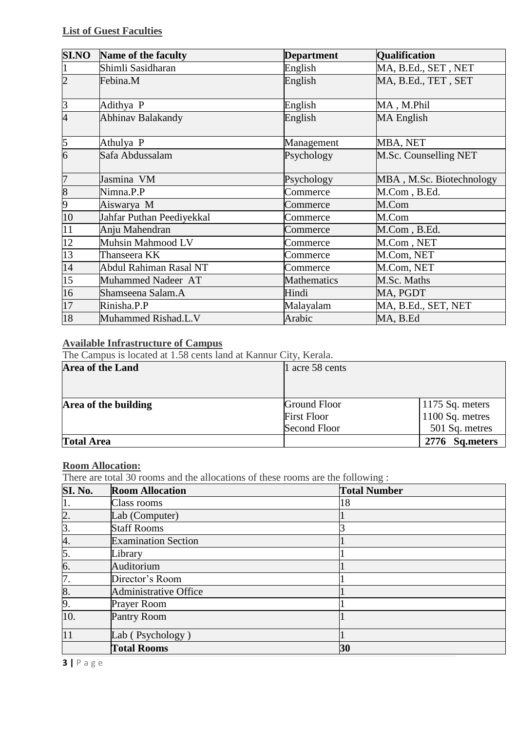| <b>SI.NO</b>   | Name of the faculty       | <b>Department</b>  | <b>Qualification</b>     |
|----------------|---------------------------|--------------------|--------------------------|
|                | Shimli Sasidharan         | English            | MA, B.Ed., SET, NET      |
| $\overline{c}$ | Febina.M                  | English            | MA, B.Ed., TET, SET      |
| $\overline{3}$ | Adithya P                 | English            | MA, M.Phil               |
| $\overline{4}$ | Abhinav Balakandy         | English            | MA English               |
| 5              | Athulya P                 | Management         | MBA, NET                 |
| 6              | Safa Abdussalam           | Psychology         | M.Sc. Counselling NET    |
| 7              | Jasmina VM                | Psychology         | MBA, M.Sc. Biotechnology |
| $\overline{8}$ | Nimna.P.P                 | Commerce           | M.Com, B.Ed.             |
| 9              | Aiswarya M                | Commerce           | M.Com                    |
| 10             | Jahfar Puthan Peediyekkal | Commerce           | M.Com                    |
| 11             | Anju Mahendran            | Commerce           | M.Com, B.Ed.             |
| 12             | Muhsin Mahmood LV         | Commerce           | M.Com, NET               |
| 13             | Thanseera KK              | Commerce           | M.Com, NET               |
| 14             | Abdul Rahiman Rasal NT    | Commerce           | M.Com, NET               |
| 15             | Muhammed Nadeer AT        | <b>Mathematics</b> | M.Sc. Maths              |
| 16             | Shamseena Salam.A         | Hindi              | MA, PGDT                 |
| 17             | Rinisha.P.P               | Malayalam          | MA, B.Ed., SET, NET      |
| 18             | Muhammed Rishad.L.V       | Arabic             | MA, B.Ed                 |

## **Available Infrastructure of Campus**

The Campus is located at 1.58 cents land at Kannur City, Kerala.

| Area of the Land     | 1 acre 58 cents     |                   |  |  |
|----------------------|---------------------|-------------------|--|--|
|                      |                     |                   |  |  |
| Area of the building | Ground Floor        | $1175$ Sq. meters |  |  |
|                      | <b>First Floor</b>  | 1100 Sq. metres   |  |  |
|                      | <b>Second Floor</b> | 501 Sq. metres    |  |  |
| <b>Total Area</b>    |                     | 2776 Sq.meters    |  |  |

## **Room Allocation:**

There are total 30 rooms and the allocations of these rooms are the following :

| SI. No.          | <b>Room Allocation</b>       | <b>Total Number</b> |
|------------------|------------------------------|---------------------|
| μ.               | Class rooms                  | 18                  |
| $\overline{2}$ . | Lab (Computer)               |                     |
| $\overline{3}$ . | <b>Staff Rooms</b>           |                     |
| 4.               | <b>Examination Section</b>   |                     |
| 5.               | Library                      |                     |
| 6.               | Auditorium                   |                     |
| 7.               | Director's Room              |                     |
| 8.               | <b>Administrative Office</b> |                     |
| 9.               | <b>Prayer Room</b>           |                     |
| 10.              | Pantry Room                  |                     |
| 11               | Lab (Psychology)             |                     |
|                  | <b>Total Rooms</b>           | 30                  |